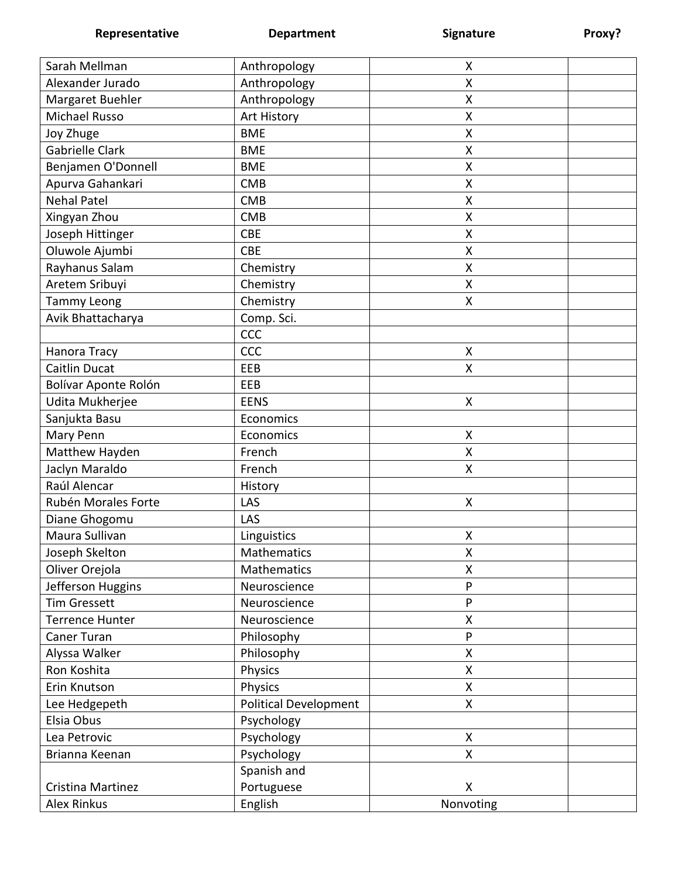**Representative <b>Department Department Signature Proxy?** 

| Sarah Mellman          | Anthropology                 | X                  |  |
|------------------------|------------------------------|--------------------|--|
| Alexander Jurado       | Anthropology                 | X                  |  |
| Margaret Buehler       | Anthropology                 | Χ                  |  |
| Michael Russo          | Art History                  | Χ                  |  |
| Joy Zhuge              | <b>BME</b>                   | Χ                  |  |
| <b>Gabrielle Clark</b> | <b>BME</b>                   | X                  |  |
| Benjamen O'Donnell     | <b>BME</b>                   | X                  |  |
| Apurva Gahankari       | <b>CMB</b>                   | Χ                  |  |
| <b>Nehal Patel</b>     | <b>CMB</b>                   | Χ                  |  |
| Xingyan Zhou           | <b>CMB</b>                   | X                  |  |
| Joseph Hittinger       | <b>CBE</b>                   | Χ                  |  |
| Oluwole Ajumbi         | <b>CBE</b>                   | Χ                  |  |
| Rayhanus Salam         | Chemistry                    | X                  |  |
| Aretem Sribuyi         | Chemistry                    | Χ                  |  |
| <b>Tammy Leong</b>     | Chemistry                    | X                  |  |
| Avik Bhattacharya      | Comp. Sci.                   |                    |  |
|                        | CCC                          |                    |  |
| Hanora Tracy           | CCC                          | $\pmb{\mathsf{X}}$ |  |
| <b>Caitlin Ducat</b>   | EEB                          | X                  |  |
| Bolívar Aponte Rolón   | EEB                          |                    |  |
| Udita Mukherjee        | <b>EENS</b>                  | X                  |  |
| Sanjukta Basu          | Economics                    |                    |  |
| Mary Penn              | Economics                    | Χ                  |  |
| Matthew Hayden         | French                       | X                  |  |
| Jaclyn Maraldo         | French                       | Χ                  |  |
| Raúl Alencar           | History                      |                    |  |
| Rubén Morales Forte    | LAS                          | $\pmb{\mathsf{X}}$ |  |
| Diane Ghogomu          | LAS                          |                    |  |
| Maura Sullivan         | Linguistics                  | Χ                  |  |
| Joseph Skelton         | <b>Mathematics</b>           | χ                  |  |
| Oliver Orejola         | <b>Mathematics</b>           | Χ                  |  |
| Jefferson Huggins      | Neuroscience                 | P                  |  |
| <b>Tim Gressett</b>    | Neuroscience                 | P                  |  |
| <b>Terrence Hunter</b> | Neuroscience                 | Χ                  |  |
| Caner Turan            | Philosophy                   | P                  |  |
| Alyssa Walker          | Philosophy                   | X                  |  |
| Ron Koshita            | Physics                      | X                  |  |
| Erin Knutson           | Physics                      | X                  |  |
| Lee Hedgepeth          | <b>Political Development</b> | X                  |  |
| Elsia Obus             | Psychology                   |                    |  |
| Lea Petrovic           | Psychology                   | X                  |  |
| Brianna Keenan         | Psychology                   | X                  |  |
|                        | Spanish and                  |                    |  |
| Cristina Martinez      | Portuguese                   | X                  |  |
| <b>Alex Rinkus</b>     | English                      | Nonvoting          |  |